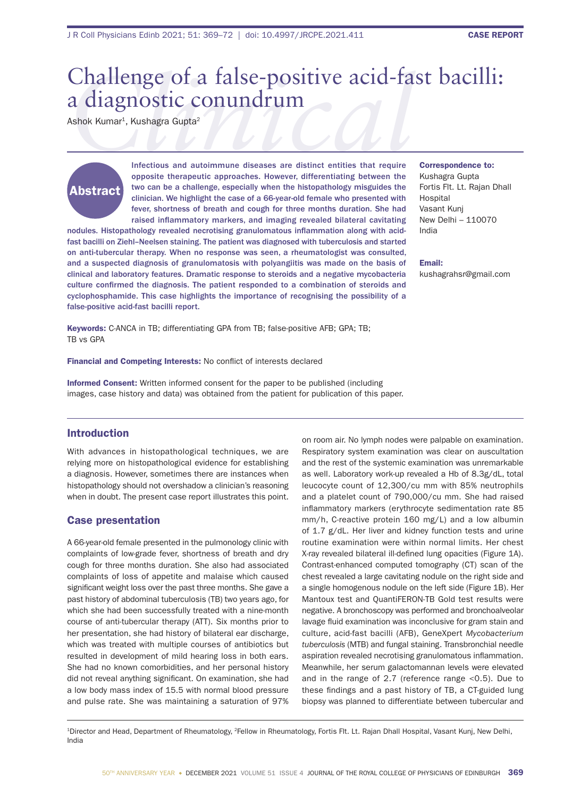# Challenge of a false-positive acid-fast bacilli:<br>
a diagnostic conundrum<br>
Ashok Kumar<sup>1</sup>, Kushagra Gupta<sup>2</sup><br>
Infectious and autoimmune diseases are distinct entities that require Correspondence to: a diagnostic conundrum

Ashok Kumar<sup>1</sup>, Kushagra Gupta<sup>2</sup>

# Abstract

Infectious and autoimmune diseases are distinct entities that require opposite therapeutic approaches. However, differentiating between the two can be a challenge, especially when the histopathology misguides the clinician. We highlight the case of a 66-year-old female who presented with fever, shortness of breath and cough for three months duration. She had raised inflammatory markers, and imaging revealed bilateral cavitating

nodules. Histopathology revealed necrotising granulomatous inflammation along with acidfast bacilli on Ziehl–Neelsen staining. The patient was diagnosed with tuberculosis and started on anti-tubercular therapy. When no response was seen, a rheumatologist was consulted, and a suspected diagnosis of granulomatosis with polyangiitis was made on the basis of clinical and laboratory features. Dramatic response to steroids and a negative mycobacteria culture confirmed the diagnosis. The patient responded to a combination of steroids and cyclophosphamide. This case highlights the importance of recognising the possibility of a false-positive acid-fast bacilli report.

Keywords: C-ANCA in TB; differentiating GPA from TB; false-positive AFB; GPA; TB; TB vs GPA

Financial and Competing Interests: No conflict of interests declared

Informed Consent: Written informed consent for the paper to be published (including images, case history and data) was obtained from the patient for publication of this paper.

Introduction

With advances in histopathological techniques, we are relying more on histopathological evidence for establishing a diagnosis. However, sometimes there are instances when histopathology should not overshadow a clinician's reasoning when in doubt. The present case report illustrates this point.

#### Case presentation

A 66-year-old female presented in the pulmonology clinic with complaints of low-grade fever, shortness of breath and dry cough for three months duration. She also had associated complaints of loss of appetite and malaise which caused significant weight loss over the past three months. She gave a past history of abdominal tuberculosis (TB) two years ago, for which she had been successfully treated with a nine-month course of anti-tubercular therapy (ATT). Six months prior to her presentation, she had history of bilateral ear discharge, which was treated with multiple courses of antibiotics but resulted in development of mild hearing loss in both ears. She had no known comorbidities, and her personal history did not reveal anything significant. On examination, she had a low body mass index of 15.5 with normal blood pressure and pulse rate. She was maintaining a saturation of 97%

on room air. No lymph nodes were palpable on examination. Respiratory system examination was clear on auscultation and the rest of the systemic examination was unremarkable as well. Laboratory work-up revealed a Hb of 8.3g/dL, total leucocyte count of 12,300/cu mm with 85% neutrophils and a platelet count of 790,000/cu mm. She had raised inflammatory markers (erythrocyte sedimentation rate 85 mm/h, C-reactive protein 160 mg/L) and a low albumin of 1.7 g/dL. Her liver and kidney function tests and urine routine examination were within normal limits. Her chest X-ray revealed bilateral ill-defined lung opacities (Figure 1A). Contrast-enhanced computed tomography (CT) scan of the chest revealed a large cavitating nodule on the right side and a single homogenous nodule on the left side (Figure 1B). Her Mantoux test and QuantiFERON-TB Gold test results were negative. A bronchoscopy was performed and bronchoalveolar lavage fluid examination was inconclusive for gram stain and culture, acid-fast bacilli (AFB), GeneXpert *Mycobacterium tuberculosis* (MTB) and fungal staining. Transbronchial needle aspiration revealed necrotising granulomatous inflammation. Meanwhile, her serum galactomannan levels were elevated and in the range of 2.7 (reference range <0.5). Due to these findings and a past history of TB, a CT-guided lung biopsy was planned to differentiate between tubercular and

1Director and Head, Department of Rheumatology, 2Fellow in Rheumatology, Fortis Flt. Lt. Rajan Dhall Hospital, Vasant Kunj, New Delhi, India

Correspondence to: Kushagra Gupta Fortis Flt. Lt. Rajan Dhall Hospital Vasant Kunj New Delhi – 110070 India

Email: kushagrahsr@gmail.com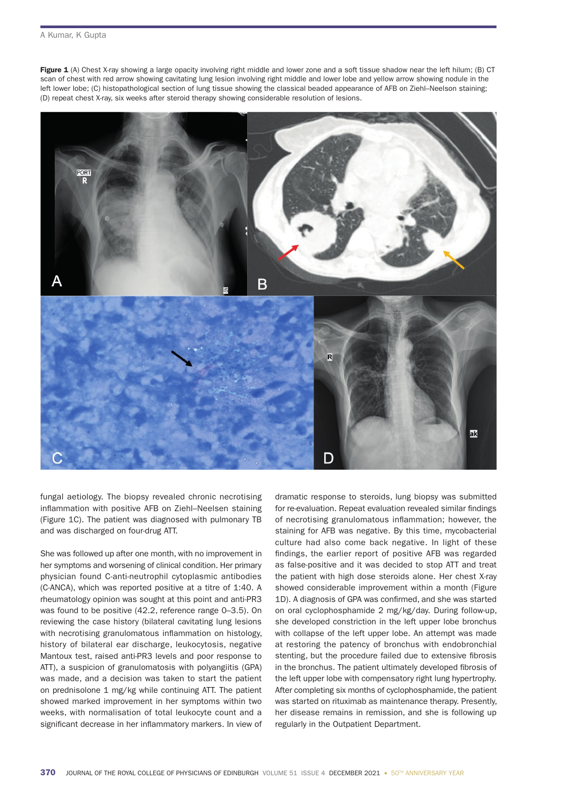Figure 1 (A) Chest X-ray showing a large opacity involving right middle and lower zone and a soft tissue shadow near the left hilum; (B) CT scan of chest with red arrow showing cavitating lung lesion involving right middle and lower lobe and yellow arrow showing nodule in the left lower lobe; (C) histopathological section of lung tissue showing the classical beaded appearance of AFB on Ziehl–Neelson staining; (D) repeat chest X-ray, six weeks after steroid therapy showing considerable resolution of lesions.



fungal aetiology. The biopsy revealed chronic necrotising inflammation with positive AFB on Ziehl–Neelsen staining (Figure 1C). The patient was diagnosed with pulmonary TB and was discharged on four-drug ATT.

She was followed up after one month, with no improvement in her symptoms and worsening of clinical condition. Her primary physician found C-anti-neutrophil cytoplasmic antibodies (C-ANCA), which was reported positive at a titre of 1:40. A rheumatology opinion was sought at this point and anti-PR3 was found to be positive (42.2, reference range 0–3.5). On reviewing the case history (bilateral cavitating lung lesions with necrotising granulomatous inflammation on histology, history of bilateral ear discharge, leukocytosis, negative Mantoux test, raised anti-PR3 levels and poor response to ATT), a suspicion of granulomatosis with polyangiitis (GPA) was made, and a decision was taken to start the patient on prednisolone 1 mg/kg while continuing ATT. The patient showed marked improvement in her symptoms within two weeks, with normalisation of total leukocyte count and a significant decrease in her inflammatory markers. In view of dramatic response to steroids, lung biopsy was submitted for re-evaluation. Repeat evaluation revealed similar findings of necrotising granulomatous inflammation; however, the staining for AFB was negative. By this time, mycobacterial culture had also come back negative. In light of these findings, the earlier report of positive AFB was regarded as false-positive and it was decided to stop ATT and treat the patient with high dose steroids alone. Her chest X-ray showed considerable improvement within a month (Figure 1D). A diagnosis of GPA was confirmed, and she was started on oral cyclophosphamide 2 mg/kg/day. During follow-up, she developed constriction in the left upper lobe bronchus with collapse of the left upper lobe. An attempt was made at restoring the patency of bronchus with endobronchial stenting, but the procedure failed due to extensive fibrosis in the bronchus. The patient ultimately developed fibrosis of the left upper lobe with compensatory right lung hypertrophy. After completing six months of cyclophosphamide, the patient was started on rituximab as maintenance therapy. Presently, her disease remains in remission, and she is following up regularly in the Outpatient Department.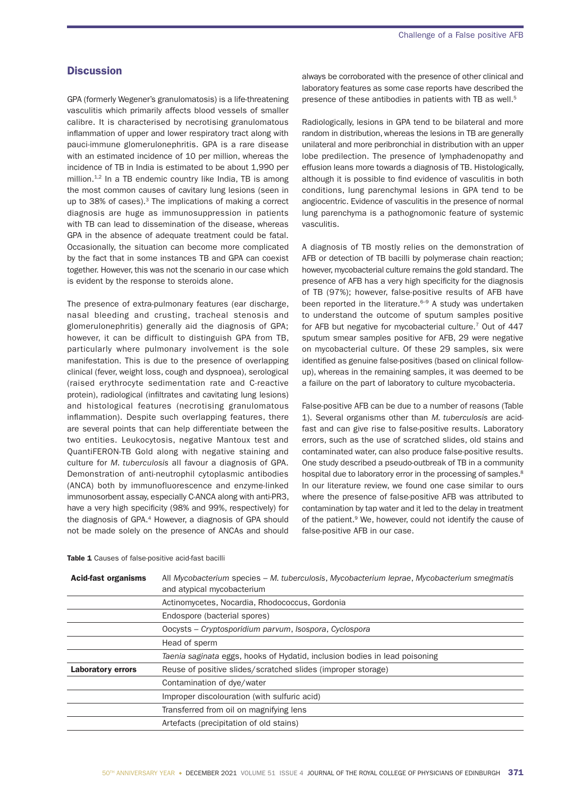### **Discussion**

GPA (formerly Wegener's granulomatosis) is a life-threatening vasculitis which primarily affects blood vessels of smaller calibre. It is characterised by necrotising granulomatous inflammation of upper and lower respiratory tract along with pauci-immune glomerulonephritis. GPA is a rare disease with an estimated incidence of 10 per million, whereas the incidence of TB in India is estimated to be about 1,990 per million.<sup>1,2</sup> In a TB endemic country like India, TB is among the most common causes of cavitary lung lesions (seen in up to 38% of cases).<sup>3</sup> The implications of making a correct diagnosis are huge as immunosuppression in patients with TB can lead to dissemination of the disease, whereas GPA in the absence of adequate treatment could be fatal. Occasionally, the situation can become more complicated by the fact that in some instances TB and GPA can coexist together. However, this was not the scenario in our case which is evident by the response to steroids alone.

The presence of extra-pulmonary features (ear discharge, nasal bleeding and crusting, tracheal stenosis and glomerulonephritis) generally aid the diagnosis of GPA; however, it can be difficult to distinguish GPA from TB, particularly where pulmonary involvement is the sole manifestation. This is due to the presence of overlapping clinical (fever, weight loss, cough and dyspnoea), serological (raised erythrocyte sedimentation rate and C-reactive protein), radiological (infiltrates and cavitating lung lesions) and histological features (necrotising granulomatous inflammation). Despite such overlapping features, there are several points that can help differentiate between the two entities. Leukocytosis, negative Mantoux test and QuantiFERON-TB Gold along with negative staining and culture for *M. tuberculosis* all favour a diagnosis of GPA. Demonstration of anti-neutrophil cytoplasmic antibodies (ANCA) both by immunofluorescence and enzyme-linked immunosorbent assay, especially C-ANCA along with anti-PR3, have a very high specificity (98% and 99%, respectively) for the diagnosis of GPA.4 However, a diagnosis of GPA should not be made solely on the presence of ANCAs and should

always be corroborated with the presence of other clinical and laboratory features as some case reports have described the presence of these antibodies in patients with TB as well.<sup>5</sup>

Radiologically, lesions in GPA tend to be bilateral and more random in distribution, whereas the lesions in TB are generally unilateral and more peribronchial in distribution with an upper lobe predilection. The presence of lymphadenopathy and effusion leans more towards a diagnosis of TB. Histologically, although it is possible to find evidence of vasculitis in both conditions, lung parenchymal lesions in GPA tend to be angiocentric. Evidence of vasculitis in the presence of normal lung parenchyma is a pathognomonic feature of systemic vasculitis.

A diagnosis of TB mostly relies on the demonstration of AFB or detection of TB bacilli by polymerase chain reaction; however, mycobacterial culture remains the gold standard. The presence of AFB has a very high specificity for the diagnosis of TB (97%); however, false-positive results of AFB have been reported in the literature. $6-9$  A study was undertaken to understand the outcome of sputum samples positive for AFB but negative for mycobacterial culture.<sup>7</sup> Out of 447 sputum smear samples positive for AFB, 29 were negative on mycobacterial culture. Of these 29 samples, six were identified as genuine false-positives (based on clinical followup), whereas in the remaining samples, it was deemed to be a failure on the part of laboratory to culture mycobacteria.

False-positive AFB can be due to a number of reasons (Table 1). Several organisms other than *M. tuberculosis* are acidfast and can give rise to false-positive results. Laboratory errors, such as the use of scratched slides, old stains and contaminated water, can also produce false-positive results. One study described a pseudo-outbreak of TB in a community hospital due to laboratory error in the processing of samples.<sup>8</sup> In our literature review, we found one case similar to ours where the presence of false-positive AFB was attributed to contamination by tap water and it led to the delay in treatment of the patient.<sup>9</sup> We, however, could not identify the cause of false-positive AFB in our case.

| <b>Acid-fast organisms</b> | All Mycobacterium species – M. tuberculosis, Mycobacterium leprae, Mycobacterium smegmatis<br>and atypical mycobacterium |
|----------------------------|--------------------------------------------------------------------------------------------------------------------------|
|                            | Actinomycetes, Nocardia, Rhodococcus, Gordonia                                                                           |
|                            | Endospore (bacterial spores)                                                                                             |
|                            | Oocysts – Cryptosporidium parvum, Isospora, Cyclospora                                                                   |
|                            | Head of sperm                                                                                                            |
|                            | Taenia saginata eggs, hooks of Hydatid, inclusion bodies in lead poisoning                                               |
| <b>Laboratory errors</b>   | Reuse of positive slides/scratched slides (improper storage)                                                             |
|                            | Contamination of dye/water                                                                                               |
|                            | Improper discolouration (with sulfuric acid)                                                                             |
|                            | Transferred from oil on magnifying lens                                                                                  |
|                            | Artefacts (precipitation of old stains)                                                                                  |

#### Table 1 Causes of false-positive acid-fast bacilli